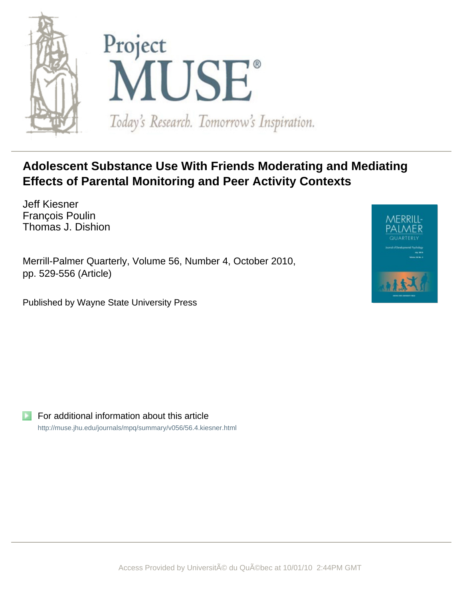



# **Adolescent Substance Use With Friends Moderating and Mediating Effects of Parental Monitoring and Peer Activity Contexts**

Jeff Kiesner François Poulin Thomas J. Dishion

Merrill-Palmer Quarterly, Volume 56, Number 4, October 2010, pp. 529-556 (Article)

Published by Wayne State University Press



For additional information about this article <http://muse.jhu.edu/journals/mpq/summary/v056/56.4.kiesner.html>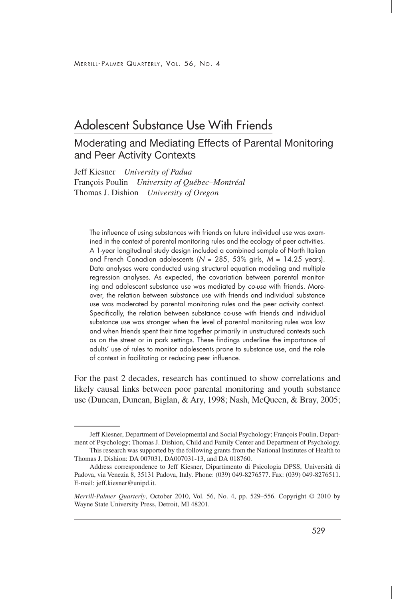## Adolescent Substance Use With Friends

## Moderating and Mediating Effects of Parental Monitoring and Peer Activity Contexts

Jeff Kiesner *University of Padua* François Poulin *University of Québec–Montréal* Thomas J. Dishion *University of Oregon*

The influence of using substances with friends on future individual use was examined in the context of parental monitoring rules and the ecology of peer activities. A 1-year longitudinal study design included a combined sample of North Italian and French Canadian adolescents (*N* = 285, 53% girls, *M* = 14.25 years). Data analyses were conducted using structural equation modeling and multiple regression analyses. As expected, the covariation between parental monitoring and adolescent substance use was mediated by *co-use* with friends. Moreover, the relation between substance use with friends and individual substance use was moderated by parental monitoring rules and the peer activity context. Specifically, the relation between substance co-use with friends and individual substance use was stronger when the level of parental monitoring rules was low and when friends spent their time together primarily in unstructured contexts such as on the street or in park settings. These findings underline the importance of adults' use of rules to monitor adolescents prone to substance use, and the role of context in facilitating or reducing peer influence.

For the past 2 decades, research has continued to show correlations and likely causal links between poor parental monitoring and youth substance use (Duncan, Duncan, Biglan, & Ary, 1998; Nash, McQueen, & Bray, 2005;

Jeff Kiesner, Department of Developmental and Social Psychology; François Poulin, Department of Psychology; Thomas J. Dishion, Child and Family Center and Department of Psychology.

This research was supported by the following grants from the National Institutes of Health to Thomas J. Dishion: DA 007031, DA007031-13, and DA 018760.

Address correspondence to Jeff Kiesner, Dipartimento di Psicologia DPSS, Università di Padova, via Venezia 8, 35131 Padova, Italy. Phone: (039) 049-8276577. Fax: (039) 049-8276511. E-mail: jeff.kiesner@unipd.it.

*Merrill-Palmer Quarterly*, October 2010, Vol. 56, No. 4, pp. 529–556. Copyright © 2010 by Wayne State University Press, Detroit, MI 48201.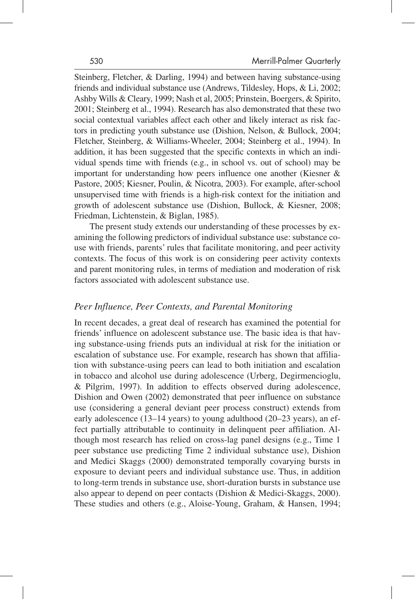Steinberg, Fletcher, & Darling, 1994) and between having substance-using friends and individual substance use (Andrews, Tildesley, Hops, & Li, 2002; Ashby Wills & Cleary, 1999; Nash et al, 2005; Prinstein, Boergers, & Spirito, 2001; Steinberg et al., 1994). Research has also demonstrated that these two social contextual variables affect each other and likely interact as risk factors in predicting youth substance use (Dishion, Nelson, & Bullock, 2004; Fletcher, Steinberg, & Williams-Wheeler, 2004; Steinberg et al., 1994). In addition, it has been suggested that the specific contexts in which an individual spends time with friends (e.g., in school vs. out of school) may be important for understanding how peers influence one another (Kiesner & Pastore, 2005; Kiesner, Poulin, & Nicotra, 2003). For example, after-school unsupervised time with friends is a high-risk context for the initiation and growth of adolescent substance use (Dishion, Bullock, & Kiesner, 2008; Friedman, Lichtenstein, & Biglan, 1985).

The present study extends our understanding of these processes by examining the following predictors of individual substance use: substance couse with friends, parents' rules that facilitate monitoring, and peer activity contexts. The focus of this work is on considering peer activity contexts and parent monitoring rules, in terms of mediation and moderation of risk factors associated with adolescent substance use.

## *Peer Influence, Peer Contexts, and Parental Monitoring*

In recent decades, a great deal of research has examined the potential for friends' influence on adolescent substance use. The basic idea is that having substance-using friends puts an individual at risk for the initiation or escalation of substance use. For example, research has shown that affiliation with substance-using peers can lead to both initiation and escalation in tobacco and alcohol use during adolescence (Urberg, Degirmencioglu, & Pilgrim, 1997). In addition to effects observed during adolescence, Dishion and Owen (2002) demonstrated that peer influence on substance use (considering a general deviant peer process construct) extends from early adolescence (13–14 years) to young adulthood (20–23 years), an effect partially attributable to continuity in delinquent peer affiliation. Although most research has relied on cross-lag panel designs (e.g., Time 1 peer substance use predicting Time 2 individual substance use), Dishion and Medici Skaggs (2000) demonstrated temporally covarying bursts in exposure to deviant peers and individual substance use. Thus, in addition to long-term trends in substance use, short-duration bursts in substance use also appear to depend on peer contacts (Dishion & Medici-Skaggs, 2000). These studies and others (e.g., Aloise-Young, Graham, & Hansen, 1994;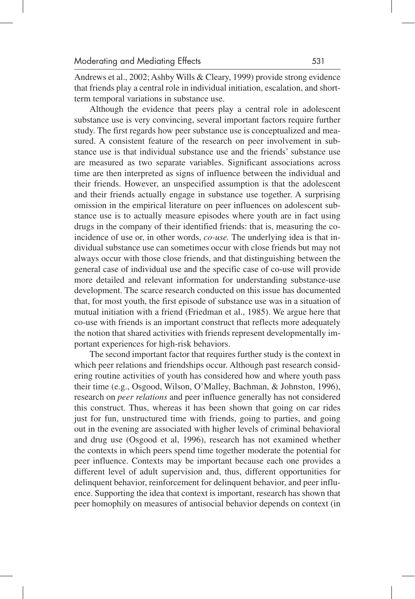Andrews et al., 2002; Ashby Wills & Cleary, 1999) provide strong evidence that friends play a central role in individual initiation, escalation, and shortterm temporal variations in substance use.

Although the evidence that peers play a central role in adolescent substance use is very convincing, several important factors require further study. The first regards how peer substance use is conceptualized and measured. A consistent feature of the research on peer involvement in substance use is that individual substance use and the friends' substance use are measured as two separate variables. Significant associations across time are then interpreted as signs of influence between the individual and their friends. However, an unspecified assumption is that the adolescent and their friends actually engage in substance use together. A surprising omission in the empirical literature on peer influences on adolescent substance use is to actually measure episodes where youth are in fact using drugs in the company of their identified friends: that is, measuring the coincidence of use or, in other words, *co-use.* The underlying idea is that individual substance use can sometimes occur with close friends but may not always occur with those close friends, and that distinguishing between the general case of individual use and the specific case of co-use will provide more detailed and relevant information for understanding substance-use development. The scarce research conducted on this issue has documented that, for most youth, the first episode of substance use was in a situation of mutual initiation with a friend (Friedman et al., 1985). We argue here that co-use with friends is an important construct that reflects more adequately the notion that shared activities with friends represent developmentally important experiences for high-risk behaviors.

The second important factor that requires further study is the context in which peer relations and friendships occur. Although past research considering routine activities of youth has considered how and where youth pass their time (e.g., Osgood, Wilson, O'Malley, Bachman, & Johnston, 1996), research on *peer relations* and peer influence generally has not considered this construct. Thus, whereas it has been shown that going on car rides just for fun, unstructured time with friends, going to parties, and going out in the evening are associated with higher levels of criminal behavioral and drug use (Osgood et al, 1996), research has not examined whether the contexts in which peers spend time together moderate the potential for peer influence. Contexts may be important because each one provides a different level of adult supervision and, thus, different opportunities for delinquent behavior, reinforcement for delinquent behavior, and peer influence. Supporting the idea that context is important, research has shown that peer homophily on measures of antisocial behavior depends on context (in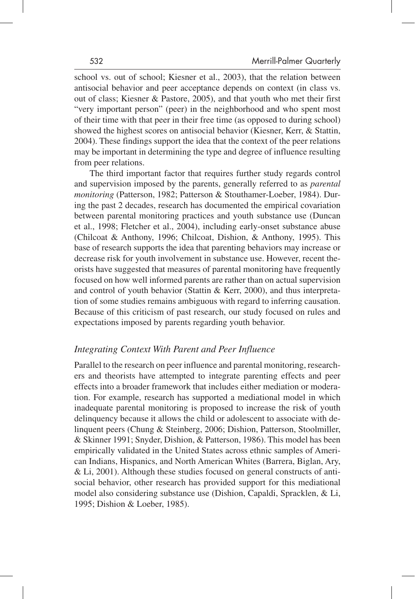school vs. out of school; Kiesner et al., 2003), that the relation between antisocial behavior and peer acceptance depends on context (in class vs. out of class; Kiesner & Pastore, 2005), and that youth who met their first "very important person" (peer) in the neighborhood and who spent most of their time with that peer in their free time (as opposed to during school) showed the highest scores on antisocial behavior (Kiesner, Kerr, & Stattin, 2004). These findings support the idea that the context of the peer relations may be important in determining the type and degree of influence resulting from peer relations.

The third important factor that requires further study regards control and supervision imposed by the parents, generally referred to as *parental monitoring* (Patterson, 1982; Patterson & Stouthamer-Loeber, 1984). During the past 2 decades, research has documented the empirical covariation between parental monitoring practices and youth substance use (Duncan et al., 1998; Fletcher et al., 2004), including early-onset substance abuse (Chilcoat & Anthony, 1996; Chilcoat, Dishion, & Anthony, 1995). This base of research supports the idea that parenting behaviors may increase or decrease risk for youth involvement in substance use. However, recent theorists have suggested that measures of parental monitoring have frequently focused on how well informed parents are rather than on actual supervision and control of youth behavior (Stattin & Kerr, 2000), and thus interpretation of some studies remains ambiguous with regard to inferring causation. Because of this criticism of past research, our study focused on rules and expectations imposed by parents regarding youth behavior.

## *Integrating Context With Parent and Peer Influence*

Parallel to the research on peer influence and parental monitoring, researchers and theorists have attempted to integrate parenting effects and peer effects into a broader framework that includes either mediation or moderation. For example, research has supported a mediational model in which inadequate parental monitoring is proposed to increase the risk of youth delinquency because it allows the child or adolescent to associate with delinquent peers (Chung & Steinberg, 2006; Dishion, Patterson, Stoolmiller, & Skinner 1991; Snyder, Dishion, & Patterson, 1986). This model has been empirically validated in the United States across ethnic samples of American Indians, Hispanics, and North American Whites (Barrera, Biglan, Ary, & Li, 2001). Although these studies focused on general constructs of antisocial behavior, other research has provided support for this mediational model also considering substance use (Dishion, Capaldi, Spracklen, & Li, 1995; Dishion & Loeber, 1985).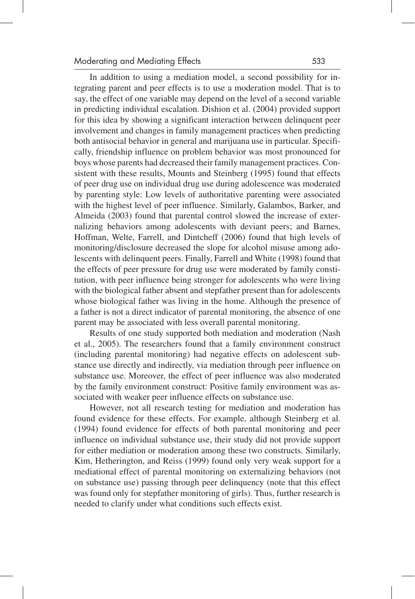In addition to using a mediation model, a second possibility for integrating parent and peer effects is to use a moderation model. That is to say, the effect of one variable may depend on the level of a second variable in predicting individual escalation. Dishion et al. (2004) provided support for this idea by showing a significant interaction between delinquent peer involvement and changes in family management practices when predicting both antisocial behavior in general and marijuana use in particular. Specifically, friendship influence on problem behavior was most pronounced for boys whose parents had decreased their family management practices. Consistent with these results, Mounts and Steinberg (1995) found that effects of peer drug use on individual drug use during adolescence was moderated by parenting style: Low levels of authoritative parenting were associated with the highest level of peer influence. Similarly, Galambos, Barker, and Almeida (2003) found that parental control slowed the increase of externalizing behaviors among adolescents with deviant peers; and Barnes, Hoffman, Welte, Farrell, and Dintcheff (2006) found that high levels of monitoring/disclosure decreased the slope for alcohol misuse among adolescents with delinquent peers. Finally, Farrell and White (1998) found that the effects of peer pressure for drug use were moderated by family constitution, with peer influence being stronger for adolescents who were living with the biological father absent and stepfather present than for adolescents whose biological father was living in the home. Although the presence of a father is not a direct indicator of parental monitoring, the absence of one parent may be associated with less overall parental monitoring.

Results of one study supported both mediation and moderation (Nash et al., 2005). The researchers found that a family environment construct (including parental monitoring) had negative effects on adolescent substance use directly and indirectly, via mediation through peer influence on substance use. Moreover, the effect of peer influence was also moderated by the family environment construct: Positive family environment was associated with weaker peer influence effects on substance use.

However, not all research testing for mediation and moderation has found evidence for these effects. For example, although Steinberg et al. (1994) found evidence for effects of both parental monitoring and peer influence on individual substance use, their study did not provide support for either mediation or moderation among these two constructs. Similarly, Kim, Hetherington, and Reiss (1999) found only very weak support for a mediational effect of parental monitoring on externalizing behaviors (not on substance use) passing through peer delinquency (note that this effect was found only for stepfather monitoring of girls). Thus, further research is needed to clarify under what conditions such effects exist.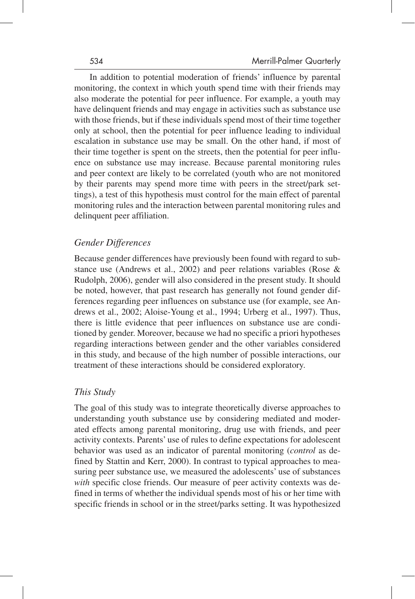In addition to potential moderation of friends' influence by parental monitoring, the context in which youth spend time with their friends may also moderate the potential for peer influence. For example, a youth may have delinquent friends and may engage in activities such as substance use with those friends, but if these individuals spend most of their time together only at school, then the potential for peer influence leading to individual escalation in substance use may be small. On the other hand, if most of their time together is spent on the streets, then the potential for peer influence on substance use may increase. Because parental monitoring rules and peer context are likely to be correlated (youth who are not monitored by their parents may spend more time with peers in the street/park settings), a test of this hypothesis must control for the main effect of parental monitoring rules and the interaction between parental monitoring rules and delinquent peer affiliation.

## *Gender Differences*

Because gender differences have previously been found with regard to substance use (Andrews et al., 2002) and peer relations variables (Rose & Rudolph, 2006), gender will also considered in the present study. It should be noted, however, that past research has generally not found gender differences regarding peer influences on substance use (for example, see Andrews et al., 2002; Aloise-Young et al., 1994; Urberg et al., 1997). Thus, there is little evidence that peer influences on substance use are conditioned by gender. Moreover, because we had no specific a priori hypotheses regarding interactions between gender and the other variables considered in this study, and because of the high number of possible interactions, our treatment of these interactions should be considered exploratory.

## *This Study*

The goal of this study was to integrate theoretically diverse approaches to understanding youth substance use by considering mediated and moderated effects among parental monitoring, drug use with friends, and peer activity contexts. Parents' use of rules to define expectations for adolescent behavior was used as an indicator of parental monitoring (*control* as defined by Stattin and Kerr, 2000). In contrast to typical approaches to measuring peer substance use, we measured the adolescents' use of substances *with* specific close friends. Our measure of peer activity contexts was defined in terms of whether the individual spends most of his or her time with specific friends in school or in the street/parks setting. It was hypothesized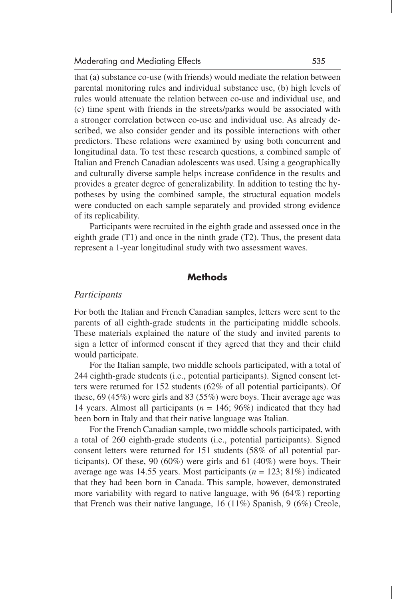that (a) substance co-use (with friends) would mediate the relation between parental monitoring rules and individual substance use, (b) high levels of rules would attenuate the relation between co-use and individual use, and (c) time spent with friends in the streets/parks would be associated with a stronger correlation between co-use and individual use. As already described, we also consider gender and its possible interactions with other predictors. These relations were examined by using both concurrent and longitudinal data. To test these research questions, a combined sample of Italian and French Canadian adolescents was used. Using a geographically and culturally diverse sample helps increase confidence in the results and provides a greater degree of generalizability. In addition to testing the hypotheses by using the combined sample, the structural equation models were conducted on each sample separately and provided strong evidence of its replicability.

Participants were recruited in the eighth grade and assessed once in the eighth grade (T1) and once in the ninth grade (T2). Thus, the present data represent a 1-year longitudinal study with two assessment waves.

## **Methods**

#### *Participants*

For both the Italian and French Canadian samples, letters were sent to the parents of all eighth-grade students in the participating middle schools. These materials explained the nature of the study and invited parents to sign a letter of informed consent if they agreed that they and their child would participate.

For the Italian sample, two middle schools participated, with a total of 244 eighth-grade students (i.e., potential participants). Signed consent letters were returned for 152 students (62% of all potential participants). Of these, 69 (45%) were girls and 83 (55%) were boys. Their average age was 14 years. Almost all participants ( $n = 146$ ; 96%) indicated that they had been born in Italy and that their native language was Italian.

For the French Canadian sample, two middle schools participated, with a total of 260 eighth-grade students (i.e., potential participants). Signed consent letters were returned for 151 students (58% of all potential participants). Of these, 90 (60%) were girls and 61 (40%) were boys. Their average age was 14.55 years. Most participants  $(n = 123; 81\%)$  indicated that they had been born in Canada. This sample, however, demonstrated more variability with regard to native language, with 96 (64%) reporting that French was their native language, 16 (11%) Spanish, 9 (6%) Creole,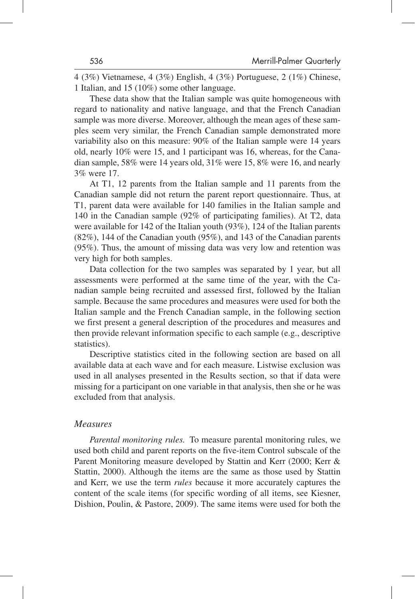4 (3%) Vietnamese, 4 (3%) English, 4 (3%) Portuguese, 2 (1%) Chinese, 1 Italian, and 15 (10%) some other language.

These data show that the Italian sample was quite homogeneous with regard to nationality and native language, and that the French Canadian sample was more diverse. Moreover, although the mean ages of these samples seem very similar, the French Canadian sample demonstrated more variability also on this measure: 90% of the Italian sample were 14 years old, nearly 10% were 15, and 1 participant was 16, whereas, for the Canadian sample, 58% were 14 years old, 31% were 15, 8% were 16, and nearly 3% were 17.

At T1, 12 parents from the Italian sample and 11 parents from the Canadian sample did not return the parent report questionnaire. Thus, at T1, parent data were available for 140 families in the Italian sample and 140 in the Canadian sample (92% of participating families). At T2, data were available for 142 of the Italian youth (93%), 124 of the Italian parents (82%), 144 of the Canadian youth (95%), and 143 of the Canadian parents (95%). Thus, the amount of missing data was very low and retention was very high for both samples.

Data collection for the two samples was separated by 1 year, but all assessments were performed at the same time of the year, with the Canadian sample being recruited and assessed first, followed by the Italian sample. Because the same procedures and measures were used for both the Italian sample and the French Canadian sample, in the following section we first present a general description of the procedures and measures and then provide relevant information specific to each sample (e.g., descriptive statistics).

Descriptive statistics cited in the following section are based on all available data at each wave and for each measure. Listwise exclusion was used in all analyses presented in the Results section, so that if data were missing for a participant on one variable in that analysis, then she or he was excluded from that analysis.

#### *Measures*

*Parental monitoring rules.* To measure parental monitoring rules, we used both child and parent reports on the five-item Control subscale of the Parent Monitoring measure developed by Stattin and Kerr (2000; Kerr & Stattin, 2000). Although the items are the same as those used by Stattin and Kerr, we use the term *rules* because it more accurately captures the content of the scale items (for specific wording of all items, see Kiesner, Dishion, Poulin, & Pastore, 2009). The same items were used for both the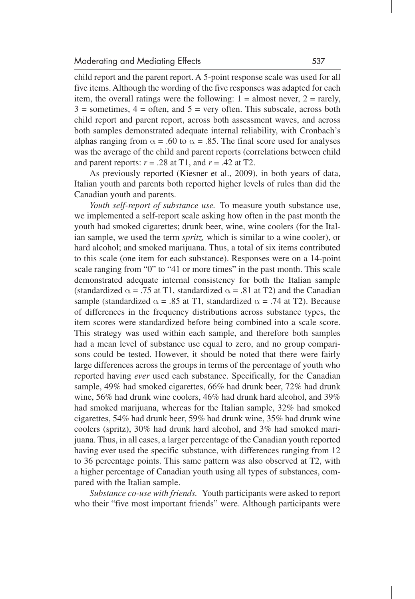child report and the parent report. A 5-point response scale was used for all five items. Although the wording of the five responses was adapted for each item, the overall ratings were the following:  $1 =$  almost never,  $2 =$  rarely,  $3 =$  sometimes,  $4 =$  often, and  $5 =$  very often. This subscale, across both child report and parent report, across both assessment waves, and across both samples demonstrated adequate internal reliability, with Cronbach's alphas ranging from  $\alpha = .60$  to  $\alpha = .85$ . The final score used for analyses was the average of the child and parent reports (correlations between child and parent reports:  $r = .28$  at T1, and  $r = .42$  at T2.

As previously reported (Kiesner et al., 2009), in both years of data, Italian youth and parents both reported higher levels of rules than did the Canadian youth and parents.

*Youth self-report of substance use.* To measure youth substance use, we implemented a self-report scale asking how often in the past month the youth had smoked cigarettes; drunk beer, wine, wine coolers (for the Italian sample, we used the term *spritz,* which is similar to a wine cooler), or hard alcohol; and smoked marijuana. Thus, a total of six items contributed to this scale (one item for each substance). Responses were on a 14-point scale ranging from "0" to "41 or more times" in the past month. This scale demonstrated adequate internal consistency for both the Italian sample (standardized  $\alpha$  = .75 at T1, standardized  $\alpha$  = .81 at T2) and the Canadian sample (standardized  $\alpha$  = .85 at T1, standardized  $\alpha$  = .74 at T2). Because of differences in the frequency distributions across substance types, the item scores were standardized before being combined into a scale score. This strategy was used within each sample, and therefore both samples had a mean level of substance use equal to zero, and no group comparisons could be tested. However, it should be noted that there were fairly large differences across the groups in terms of the percentage of youth who reported having *ever* used each substance. Specifically, for the Canadian sample, 49% had smoked cigarettes, 66% had drunk beer, 72% had drunk wine, 56% had drunk wine coolers, 46% had drunk hard alcohol, and 39% had smoked marijuana, whereas for the Italian sample, 32% had smoked cigarettes, 54% had drunk beer, 59% had drunk wine, 35% had drunk wine coolers (spritz), 30% had drunk hard alcohol, and 3% had smoked marijuana. Thus, in all cases, a larger percentage of the Canadian youth reported having ever used the specific substance, with differences ranging from 12 to 36 percentage points. This same pattern was also observed at T2, with a higher percentage of Canadian youth using all types of substances, compared with the Italian sample.

*Substance co-use with friends.* Youth participants were asked to report who their "five most important friends" were. Although participants were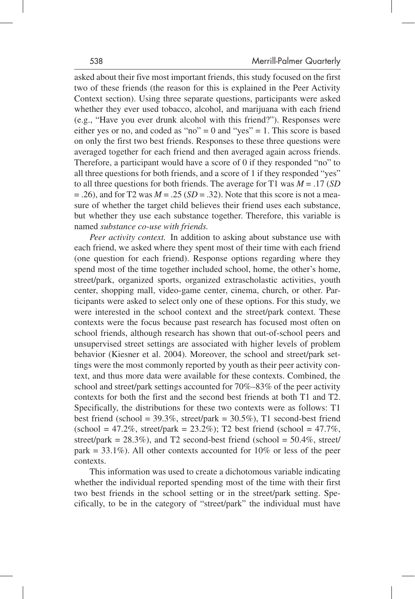asked about their five most important friends, this study focused on the first two of these friends (the reason for this is explained in the Peer Activity Context section). Using three separate questions, participants were asked whether they ever used tobacco, alcohol, and marijuana with each friend (e.g., "Have you ever drunk alcohol with this friend?"). Responses were either yes or no, and coded as "no" = 0 and "yes" = 1. This score is based on only the first two best friends. Responses to these three questions were averaged together for each friend and then averaged again across friends. Therefore, a participant would have a score of 0 if they responded "no" to all three questions for both friends, and a score of 1 if they responded "yes" to all three questions for both friends. The average for T1 was *M* = .17 (*SD*  $= .26$ ), and for T2 was  $M = .25$  (*SD* = .32). Note that this score is not a measure of whether the target child believes their friend uses each substance, but whether they use each substance together. Therefore, this variable is named *substance co-use with friends.*

*Peer activity context.* In addition to asking about substance use with each friend, we asked where they spent most of their time with each friend (one question for each friend). Response options regarding where they spend most of the time together included school, home, the other's home, street/park, organized sports, organized extrascholastic activities, youth center, shopping mall, video-game center, cinema, church, or other. Participants were asked to select only one of these options. For this study, we were interested in the school context and the street/park context. These contexts were the focus because past research has focused most often on school friends, although research has shown that out-of-school peers and unsupervised street settings are associated with higher levels of problem behavior (Kiesner et al. 2004). Moreover, the school and street/park settings were the most commonly reported by youth as their peer activity context, and thus more data were available for these contexts. Combined, the school and street/park settings accounted for 70%–83% of the peer activity contexts for both the first and the second best friends at both T1 and T2. Specifically, the distributions for these two contexts were as follows: T1 best friend (school =  $39.3\%$ , street/park =  $30.5\%$ ), T1 second-best friend  $(\text{school} = 47.2\%, \text{ street/park} = 23.2\%);$  T2 best friend  $(\text{school} = 47.7\%),$ street/park =  $28.3\%$ ), and T2 second-best friend (school =  $50.4\%$ , street/ park =  $33.1\%$ ). All other contexts accounted for  $10\%$  or less of the peer contexts.

This information was used to create a dichotomous variable indicating whether the individual reported spending most of the time with their first two best friends in the school setting or in the street/park setting. Specifically, to be in the category of "street/park" the individual must have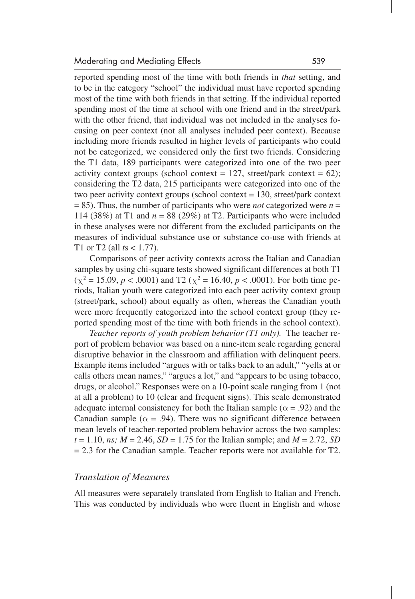reported spending most of the time with both friends in *that* setting, and to be in the category "school" the individual must have reported spending most of the time with both friends in that setting. If the individual reported spending most of the time at school with one friend and in the street/park with the other friend, that individual was not included in the analyses focusing on peer context (not all analyses included peer context). Because including more friends resulted in higher levels of participants who could not be categorized, we considered only the first two friends. Considering the T1 data, 189 participants were categorized into one of the two peer activity context groups (school context =  $127$ , street/park context =  $62$ ); considering the T2 data, 215 participants were categorized into one of the two peer activity context groups (school context = 130, street/park context  $= 85$ ). Thus, the number of participants who were *not* categorized were *n* = 114 (38%) at T1 and  $n = 88$  (29%) at T2. Participants who were included in these analyses were not different from the excluded participants on the measures of individual substance use or substance co-use with friends at T1 or T2 (all *t*s < 1.77).

Comparisons of peer activity contexts across the Italian and Canadian samples by using chi-square tests showed significant differences at both T1  $(\chi^2 = 15.09, p < .0001)$  and T2  $(\chi^2 = 16.40, p < .0001)$ . For both time periods, Italian youth were categorized into each peer activity context group (street/park, school) about equally as often, whereas the Canadian youth were more frequently categorized into the school context group (they reported spending most of the time with both friends in the school context).

*Teacher reports of youth problem behavior (T1 only).* The teacher report of problem behavior was based on a nine-item scale regarding general disruptive behavior in the classroom and affiliation with delinquent peers. Example items included "argues with or talks back to an adult," "yells at or calls others mean names," "argues a lot," and "appears to be using tobacco, drugs, or alcohol." Responses were on a 10-point scale ranging from 1 (not at all a problem) to 10 (clear and frequent signs). This scale demonstrated adequate internal consistency for both the Italian sample ( $\alpha$  = .92) and the Canadian sample ( $\alpha$  = .94). There was no significant difference between mean levels of teacher-reported problem behavior across the two samples:  $t = 1.10$ , *ns*;  $M = 2.46$ ,  $SD = 1.75$  for the Italian sample; and  $M = 2.72$ , *SD* = 2.3 for the Canadian sample. Teacher reports were not available for T2.

#### *Translation of Measures*

All measures were separately translated from English to Italian and French. This was conducted by individuals who were fluent in English and whose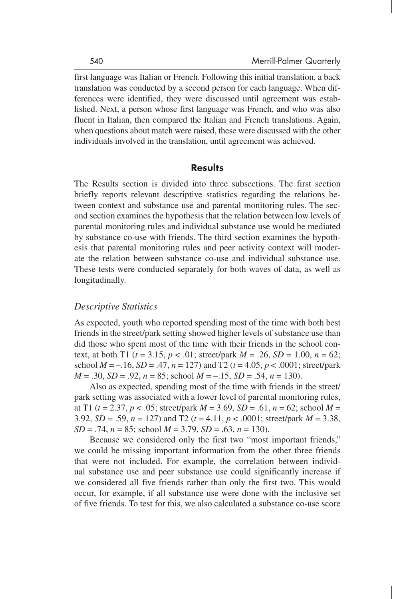first language was Italian or French. Following this initial translation, a back translation was conducted by a second person for each language. When differences were identified, they were discussed until agreement was established. Next, a person whose first language was French, and who was also fluent in Italian, then compared the Italian and French translations. Again, when questions about match were raised, these were discussed with the other individuals involved in the translation, until agreement was achieved.

## **Results**

The Results section is divided into three subsections. The first section briefly reports relevant descriptive statistics regarding the relations between context and substance use and parental monitoring rules. The second section examines the hypothesis that the relation between low levels of parental monitoring rules and individual substance use would be mediated by substance co-use with friends. The third section examines the hypothesis that parental monitoring rules and peer activity context will moderate the relation between substance co-use and individual substance use. These tests were conducted separately for both waves of data, as well as longitudinally.

## *Descriptive Statistics*

As expected, youth who reported spending most of the time with both best friends in the street/park setting showed higher levels of substance use than did those who spent most of the time with their friends in the school context, at both T1 ( $t = 3.15$ ,  $p < .01$ ; street/park  $M = .26$ ,  $SD = 1.00$ ,  $n = 62$ ; school  $M = -0.16$ ,  $SD = 0.47$ ,  $n = 127$ ) and T2 ( $t = 4.05$ ,  $p < 0.0001$ ; street/park *M* = .30, *SD* = .92, *n* = 85; school *M* = –.15, *SD* = .54, *n* = 130).

Also as expected, spending most of the time with friends in the street/ park setting was associated with a lower level of parental monitoring rules, at T1 (*t* = 2.37, *p* < .05; street/park *M* = 3.69, *SD* = .61, *n* = 62; school *M* = 3.92, *SD* = .59, *n* = 127) and T2 (*t* = 4.11, *p* < .0001; street/park *M* = 3.38, *SD* = .74, *n* = 85; school *M* = 3.79, *SD* = .63, *n* = 130).

Because we considered only the first two "most important friends," we could be missing important information from the other three friends that were not included. For example, the correlation between individual substance use and peer substance use could significantly increase if we considered all five friends rather than only the first two. This would occur, for example, if all substance use were done with the inclusive set of five friends. To test for this, we also calculated a substance co-use score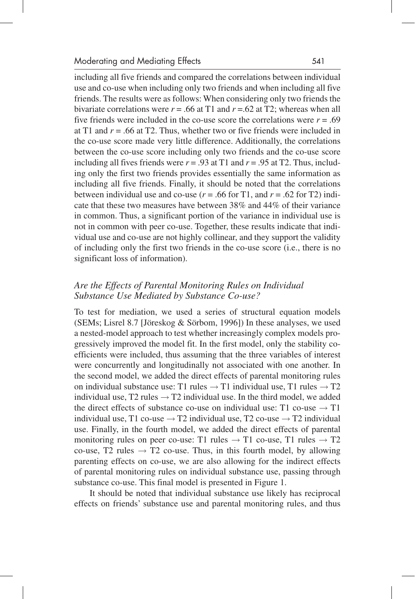including all five friends and compared the correlations between individual use and co-use when including only two friends and when including all five friends. The results were as follows: When considering only two friends the bivariate correlations were  $r = .66$  at T1 and  $r = .62$  at T2; whereas when all five friends were included in the co-use score the correlations were  $r = .69$ at T1 and  $r = .66$  at T2. Thus, whether two or five friends were included in the co-use score made very little difference. Additionally, the correlations between the co-use score including only two friends and the co-use score including all fives friends were  $r = .93$  at T1 and  $r = .95$  at T2. Thus, including only the first two friends provides essentially the same information as including all five friends. Finally, it should be noted that the correlations between individual use and co-use ( $r = .66$  for T1, and  $r = .62$  for T2) indicate that these two measures have between 38% and 44% of their variance in common. Thus, a significant portion of the variance in individual use is not in common with peer co-use. Together, these results indicate that individual use and co-use are not highly collinear, and they support the validity of including only the first two friends in the co-use score (i.e., there is no significant loss of information).

## *Are the Effects of Parental Monitoring Rules on Individual Substance Use Mediated by Substance Co-use?*

To test for mediation, we used a series of structural equation models (SEMs; Lisrel 8.7 [Jöreskog & Sörbom, 1996]) In these analyses, we used a nested-model approach to test whether increasingly complex models progressively improved the model fit. In the first model, only the stability coefficients were included, thus assuming that the three variables of interest were concurrently and longitudinally not associated with one another. In the second model, we added the direct effects of parental monitoring rules on individual substance use: T1 rules  $\rightarrow$  T1 individual use, T1 rules  $\rightarrow$  T2 individual use, T2 rules  $\rightarrow$  T2 individual use. In the third model, we added the direct effects of substance co-use on individual use: T1 co-use  $\rightarrow$  T1 individual use, T1 co-use  $\rightarrow$  T2 individual use, T2 co-use  $\rightarrow$  T2 individual use. Finally, in the fourth model, we added the direct effects of parental monitoring rules on peer co-use: T1 rules  $\rightarrow$  T1 co-use, T1 rules  $\rightarrow$  T2 co-use, T2 rules  $\rightarrow$  T2 co-use. Thus, in this fourth model, by allowing parenting effects on co-use, we are also allowing for the indirect effects of parental monitoring rules on individual substance use, passing through substance co-use. This final model is presented in Figure 1.

It should be noted that individual substance use likely has reciprocal effects on friends' substance use and parental monitoring rules, and thus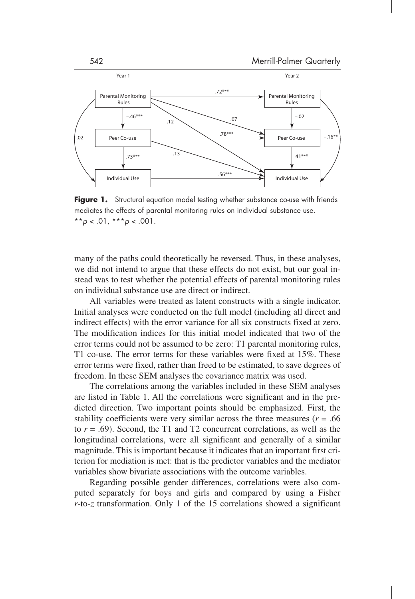

**Figure 1.** Structural equation model testing whether substance co-use with friends mediates the effects of parental monitoring rules on individual substance use.  $*$ *\*p* < .01,  $*$ *\*\*p* < .001.

many of the paths could theoretically be reversed. Thus, in these analyses, we did not intend to argue that these effects do not exist, but our goal instead was to test whether the potential effects of parental monitoring rules on individual substance use are direct or indirect.

All variables were treated as latent constructs with a single indicator. Initial analyses were conducted on the full model (including all direct and indirect effects) with the error variance for all six constructs fixed at zero. The modification indices for this initial model indicated that two of the error terms could not be assumed to be zero: T1 parental monitoring rules, T1 co-use. The error terms for these variables were fixed at 15%. These error terms were fixed, rather than freed to be estimated, to save degrees of freedom. In these SEM analyses the covariance matrix was used.

The correlations among the variables included in these SEM analyses are listed in Table 1. All the correlations were significant and in the predicted direction. Two important points should be emphasized. First, the stability coefficients were very similar across the three measures ( $r = .66$ ) to *r* = .69). Second, the T1 and T2 concurrent correlations, as well as the longitudinal correlations, were all significant and generally of a similar magnitude. This is important because it indicates that an important first criterion for mediation is met: that is the predictor variables and the mediator variables show bivariate associations with the outcome variables.

Regarding possible gender differences, correlations were also computed separately for boys and girls and compared by using a Fisher *r-*to-*z* transformation. Only 1 of the 15 correlations showed a significant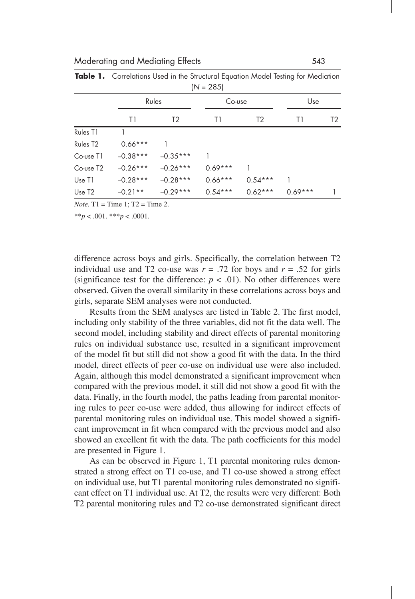| $ 19 - 20J $          |            |                |           |                |           |                |  |
|-----------------------|------------|----------------|-----------|----------------|-----------|----------------|--|
|                       |            | Rules          |           | Co-use         |           | Use            |  |
|                       | T1         | T <sub>2</sub> | T1        | T <sub>2</sub> | T1        | T <sub>2</sub> |  |
| Rules T1              |            |                |           |                |           |                |  |
| Rules T <sub>2</sub>  | $0.66***$  |                |           |                |           |                |  |
| Co-use T1             | $-0.38***$ | $-0.35***$     |           |                |           |                |  |
| Co-use T <sub>2</sub> | $-0.26***$ | $-0.26***$     | $0.69***$ |                |           |                |  |
| Use T1                | $-0.28***$ | $-0.28***$     | $0.66***$ | $0.54***$      |           |                |  |
| Use T <sub>2</sub>    | $-0.21**$  | $-0.29***$     | $0.54***$ | $0.62***$      | $0.69***$ |                |  |

**Table 1.** Correlations Used in the Structural Equation Model Testing for Mediation  $(NI - 205)$ 

*Note.*  $T1 = Time 1: T2 = Time 2$ .

 $**p < .001$ .  $***p < .0001$ .

difference across boys and girls. Specifically, the correlation between T2 individual use and T2 co-use was  $r = .72$  for boys and  $r = .52$  for girls (significance test for the difference:  $p < .01$ ). No other differences were observed. Given the overall similarity in these correlations across boys and girls, separate SEM analyses were not conducted.

Results from the SEM analyses are listed in Table 2. The first model, including only stability of the three variables, did not fit the data well. The second model, including stability and direct effects of parental monitoring rules on individual substance use, resulted in a significant improvement of the model fit but still did not show a good fit with the data. In the third model, direct effects of peer co-use on individual use were also included. Again, although this model demonstrated a significant improvement when compared with the previous model, it still did not show a good fit with the data. Finally, in the fourth model, the paths leading from parental monitoring rules to peer co-use were added, thus allowing for indirect effects of parental monitoring rules on individual use. This model showed a significant improvement in fit when compared with the previous model and also showed an excellent fit with the data. The path coefficients for this model are presented in Figure 1.

As can be observed in Figure 1, T1 parental monitoring rules demonstrated a strong effect on T1 co-use, and T1 co-use showed a strong effect on individual use, but T1 parental monitoring rules demonstrated no significant effect on T1 individual use. At T2, the results were very different: Both T2 parental monitoring rules and T2 co-use demonstrated significant direct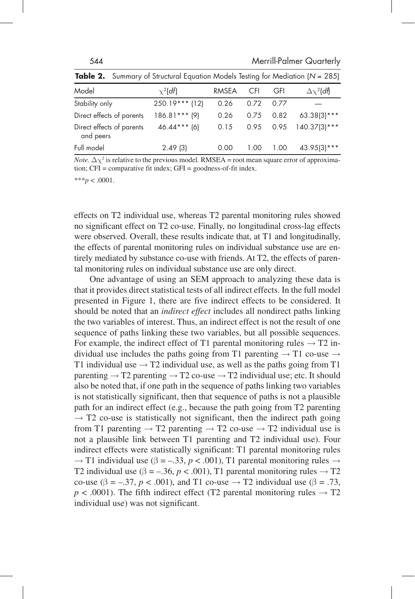| $\frac{1}{2}$ and $\frac{1}{2}$ community of only choice $\frac{1}{2}$ and $\frac{1}{2}$ and $\frac{1}{2}$ are not community to the condition $\frac{1}{2}$ are $\frac{1}{2}$ |                  |              |            |            |                      |
|-------------------------------------------------------------------------------------------------------------------------------------------------------------------------------|------------------|--------------|------------|------------|----------------------|
| Model                                                                                                                                                                         | $\chi^2$ (df)    | <b>RMSEA</b> | <b>CFI</b> | <b>GFI</b> | $\Delta \chi^2$ (df) |
| Stability only                                                                                                                                                                | $250.19***$ (12) | 0.26         | 0.72       | 0.77       |                      |
| Direct effects of parents                                                                                                                                                     | $186.81***$ (9)  | 0.26         | 0.75       | 0.82       | $63.38(3)***$        |
| Direct effects of parents<br>and peers                                                                                                                                        | $46.44***$ (6)   | 0.15         | 0.95       |            | $0.95$ 140.37(3)***  |
| Full model                                                                                                                                                                    | 2.49(3)          | 0.00         | 1.00       | 1.00       | $43.95(3)***$        |

**Table 2.** Summary of Structural Equation Models Testing for Mediation (*N* = 285)

*Note.*  $\Delta \chi^2$  is relative to the previous model. RMSEA = root mean square error of approximation; CFI = comparative fit index; GFI = goodness-of-fit index.

 $***p<.0001$ .

effects on T2 individual use, whereas T2 parental monitoring rules showed no significant effect on T2 co-use. Finally, no longitudinal cross-lag effects were observed. Overall, these results indicate that, at T1 and longitudinally, the effects of parental monitoring rules on individual substance use are entirely mediated by substance co-use with friends. At T2, the effects of parental monitoring rules on individual substance use are only direct.

One advantage of using an SEM approach to analyzing these data is that it provides direct statistical tests of all indirect effects. In the full model presented in Figure 1, there are five indirect effects to be considered. It should be noted that an *indirect effect* includes all nondirect paths linking the two variables of interest. Thus, an indirect effect is not the result of one sequence of paths linking these two variables, but all possible sequences. For example, the indirect effect of T1 parental monitoring rules  $\rightarrow$  T2 individual use includes the paths going from T1 parenting  $\rightarrow$  T1 co-use  $\rightarrow$ T1 individual use  $\rightarrow$  T2 individual use, as well as the paths going from T1 parenting  $\rightarrow$  T2 parenting  $\rightarrow$  T2 co-use  $\rightarrow$  T2 individual use; etc. It should also be noted that, if one path in the sequence of paths linking two variables is not statistically significant, then that sequence of paths is not a plausible path for an indirect effect (e.g., because the path going from T2 parenting  $\rightarrow$  T2 co-use is statistically not significant, then the indirect path going from T1 parenting  $\rightarrow$  T2 parenting  $\rightarrow$  T2 co-use  $\rightarrow$  T2 individual use is not a plausible link between T1 parenting and T2 individual use). Four indirect effects were statistically significant: T1 parental monitoring rules  $\rightarrow$  T1 individual use ( $\beta$  = –.33, *p* < .001), T1 parental monitoring rules  $\rightarrow$ T2 individual use ( $\beta = -.36$ ,  $p < .001$ ), T1 parental monitoring rules  $\rightarrow$  T2 co-use ( $\beta = -.37$ ,  $p < .001$ ), and T1 co-use  $\rightarrow$  T2 individual use ( $\beta = .73$ ,  $p < .0001$ ). The fifth indirect effect (T2 parental monitoring rules  $\rightarrow$  T2 individual use) was not significant.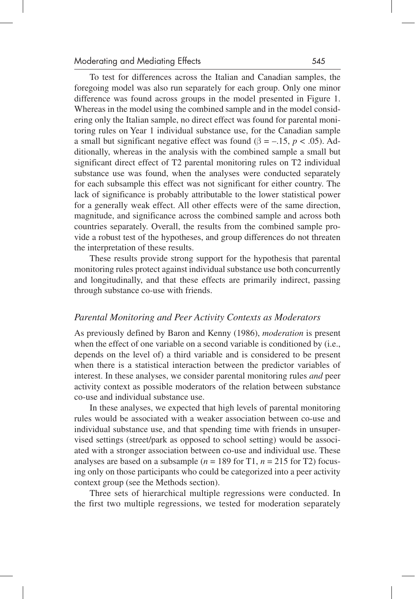To test for differences across the Italian and Canadian samples, the foregoing model was also run separately for each group. Only one minor difference was found across groups in the model presented in Figure 1. Whereas in the model using the combined sample and in the model considering only the Italian sample, no direct effect was found for parental monitoring rules on Year 1 individual substance use, for the Canadian sample a small but significant negative effect was found ( $\beta$  = –.15, *p* < .05). Additionally, whereas in the analysis with the combined sample a small but significant direct effect of T2 parental monitoring rules on T2 individual substance use was found, when the analyses were conducted separately for each subsample this effect was not significant for either country. The lack of significance is probably attributable to the lower statistical power for a generally weak effect. All other effects were of the same direction, magnitude, and significance across the combined sample and across both countries separately. Overall, the results from the combined sample provide a robust test of the hypotheses, and group differences do not threaten the interpretation of these results.

These results provide strong support for the hypothesis that parental monitoring rules protect against individual substance use both concurrently and longitudinally, and that these effects are primarily indirect, passing through substance co-use with friends.

#### *Parental Monitoring and Peer Activity Contexts as Moderators*

As previously defined by Baron and Kenny (1986), *moderation* is present when the effect of one variable on a second variable is conditioned by (i.e., depends on the level of) a third variable and is considered to be present when there is a statistical interaction between the predictor variables of interest. In these analyses, we consider parental monitoring rules *and* peer activity context as possible moderators of the relation between substance co-use and individual substance use.

In these analyses, we expected that high levels of parental monitoring rules would be associated with a weaker association between co-use and individual substance use, and that spending time with friends in unsupervised settings (street/park as opposed to school setting) would be associated with a stronger association between co-use and individual use. These analyses are based on a subsample ( $n = 189$  for T1,  $n = 215$  for T2) focusing only on those participants who could be categorized into a peer activity context group (see the Methods section).

Three sets of hierarchical multiple regressions were conducted. In the first two multiple regressions, we tested for moderation separately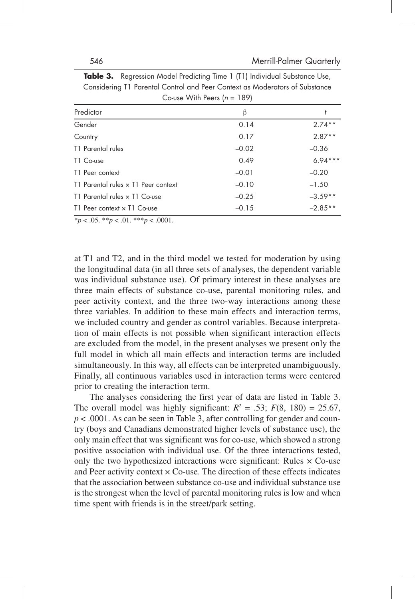|                                     | $\frac{1}{2}$ |           |
|-------------------------------------|---------------|-----------|
| Predictor                           | $\beta$       |           |
| Gender                              | 0.14          | $2.74**$  |
| Country                             | 0.17          | $2.87**$  |
| T1 Parental rules                   | $-0.02$       | $-0.36$   |
| T1 Co-use                           | 0.49          | $6.94***$ |
| T1 Peer context                     | $-0.01$       | $-0.20$   |
| T1 Parental rules x T1 Peer context | $-0.10$       | $-1.50$   |
| T1 Parental rules x T1 Co-use       | $-0.25$       | $-3.59**$ |
| T1 Peer context x T1 Co-use         | $-0.15$       | $-2.85**$ |

**Table 3.** Regression Model Predicting Time 1 (T1) Individual Substance Use, Considering T1 Parental Control and Peer Context as Moderators of Substance Co-use With Peers (*n* = 189)

 $**p* < .05.$   $**p* < .01.$   $**p* < .0001.$ 

at T1 and T2, and in the third model we tested for moderation by using the longitudinal data (in all three sets of analyses, the dependent variable was individual substance use). Of primary interest in these analyses are three main effects of substance co-use, parental monitoring rules, and peer activity context, and the three two-way interactions among these three variables. In addition to these main effects and interaction terms, we included country and gender as control variables. Because interpretation of main effects is not possible when significant interaction effects are excluded from the model, in the present analyses we present only the full model in which all main effects and interaction terms are included simultaneously. In this way, all effects can be interpreted unambiguously. Finally, all continuous variables used in interaction terms were centered prior to creating the interaction term.

The analyses considering the first year of data are listed in Table 3. The overall model was highly significant:  $R^2 = .53$ ;  $F(8, 180) = 25.67$ , *p* < .0001. As can be seen in Table 3, after controlling for gender and country (boys and Canadians demonstrated higher levels of substance use), the only main effect that was significant was for co-use, which showed a strong positive association with individual use. Of the three interactions tested, only the two hypothesized interactions were significant: Rules  $\times$  Co-use and Peer activity context  $\times$  Co-use. The direction of these effects indicates that the association between substance co-use and individual substance use is the strongest when the level of parental monitoring rules is low and when time spent with friends is in the street/park setting.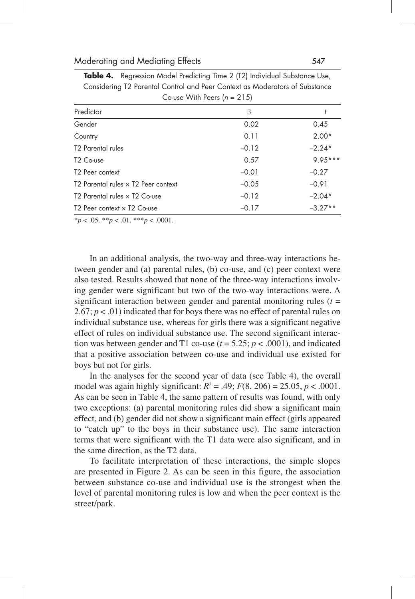| Predictor                                           | В       |           |  |  |
|-----------------------------------------------------|---------|-----------|--|--|
| Gender                                              | 0.02    | 0.45      |  |  |
| Country                                             | 0.11    | $2.00*$   |  |  |
| <b>T2 Parental rules</b>                            | $-0.12$ | $-2.24*$  |  |  |
| T <sub>2</sub> Co-use                               | 0.57    | $9.95***$ |  |  |
| T <sub>2</sub> Peer context                         | $-0.01$ | $-0.27$   |  |  |
| T2 Parental rules x T2 Peer context                 | $-0.05$ | $-0.91$   |  |  |
| T2 Parental rules x T2 Co-use                       | $-0.12$ | $-2.04*$  |  |  |
| T <sub>2</sub> Peer context x T <sub>2</sub> Co-use | $-0.17$ | $-3.27**$ |  |  |

**Table 4.** Regression Model Predicting Time 2 (T2) Individual Substance Use, Considering T2 Parental Control and Peer Context as Moderators of Substance Co-use With Peers (*n* = 215)

\**p* < .05. \*\**p* < .01. \*\*\**p* < .0001.

In an additional analysis, the two-way and three-way interactions between gender and (a) parental rules, (b) co-use, and (c) peer context were also tested. Results showed that none of the three-way interactions involving gender were significant but two of the two-way interactions were. A significant interaction between gender and parental monitoring rules  $(t =$ 2.67;  $p < .01$ ) indicated that for boys there was no effect of parental rules on individual substance use, whereas for girls there was a significant negative effect of rules on individual substance use. The second significant interaction was between gender and T1 co-use  $(t = 5.25; p < .0001)$ , and indicated that a positive association between co-use and individual use existed for boys but not for girls.

In the analyses for the second year of data (see Table 4), the overall model was again highly significant:  $R^2 = .49$ ;  $F(8, 206) = 25.05$ ,  $p < .0001$ . As can be seen in Table 4, the same pattern of results was found, with only two exceptions: (a) parental monitoring rules did show a significant main effect, and (b) gender did not show a significant main effect (girls appeared to "catch up" to the boys in their substance use). The same interaction terms that were significant with the T1 data were also significant, and in the same direction, as the T2 data.

To facilitate interpretation of these interactions, the simple slopes are presented in Figure 2. As can be seen in this figure, the association between substance co-use and individual use is the strongest when the level of parental monitoring rules is low and when the peer context is the street/park.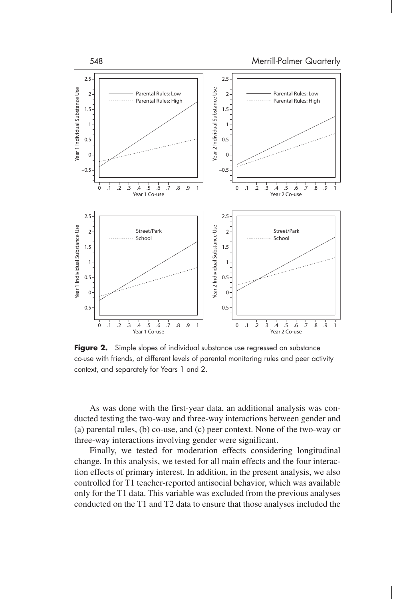

**Figure 2.** Simple slopes of individual substance use regressed on substance co-use with friends, at different levels of parental monitoring rules and peer activity context, and separately for Years 1 and 2.

As was done with the first-year data, an additional analysis was conducted testing the two-way and three-way interactions between gender and (a) parental rules, (b) co-use, and (c) peer context. None of the two-way or three-way interactions involving gender were significant.

Finally, we tested for moderation effects considering longitudinal change. In this analysis, we tested for all main effects and the four interaction effects of primary interest. In addition, in the present analysis, we also controlled for T1 teacher-reported antisocial behavior, which was available only for the T1 data. This variable was excluded from the previous analyses conducted on the T1 and T2 data to ensure that those analyses included the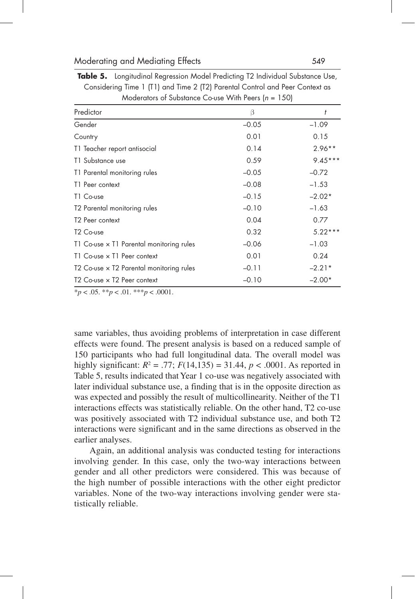| $1000$ computed to $1000$ and $1000$ constraints with $1000$ constraints $1000$ |         |           |  |  |
|---------------------------------------------------------------------------------|---------|-----------|--|--|
| Predictor                                                                       | β       | t         |  |  |
| Gender                                                                          | $-0.05$ | $-1.09$   |  |  |
| Country                                                                         | 0.01    | 0.15      |  |  |
| T1 Teacher report antisocial                                                    | 0.14    | $2.96**$  |  |  |
| T1 Substance use                                                                | 0.59    | $9.45***$ |  |  |
| T1 Parental monitoring rules                                                    | $-0.05$ | $-0.72$   |  |  |
| T1 Peer context                                                                 | $-0.08$ | $-1.53$   |  |  |
| T1 Co-use                                                                       | $-0.15$ | $-2.02*$  |  |  |
| T2 Parental monitoring rules                                                    | $-0.10$ | $-1.63$   |  |  |
| T <sub>2</sub> Peer context                                                     | 0.04    | 0.77      |  |  |
| T <sub>2</sub> Co-use                                                           | 0.32    | $5.22***$ |  |  |
| T1 Co-use x T1 Parental monitoring rules                                        | $-0.06$ | $-1.03$   |  |  |
| T1 Co-use x T1 Peer context                                                     | 0.01    | 0.24      |  |  |
| T2 Co-use x T2 Parental monitoring rules                                        | $-0.11$ | $-2.21*$  |  |  |
| T2 Co-use x T2 Peer context                                                     | $-0.10$ | $-2.00*$  |  |  |

**Table 5.** Longitudinal Regression Model Predicting T2 Individual Substance Use, Considering Time 1 (T1) and Time 2 (T2) Parental Control and Peer Context as Moderators of Substance Co-use With Peers (*n* = 150)

\**p* < .05. \*\**p* < .01. \*\*\**p* < .0001.

same variables, thus avoiding problems of interpretation in case different effects were found. The present analysis is based on a reduced sample of 150 participants who had full longitudinal data. The overall model was highly significant:  $R^2 = .77$ ;  $F(14,135) = 31.44$ ,  $p < .0001$ . As reported in Table 5, results indicated that Year 1 co-use was negatively associated with later individual substance use, a finding that is in the opposite direction as was expected and possibly the result of multicollinearity. Neither of the T1 interactions effects was statistically reliable. On the other hand, T2 co-use was positively associated with T2 individual substance use, and both T2 interactions were significant and in the same directions as observed in the earlier analyses.

Again, an additional analysis was conducted testing for interactions involving gender. In this case, only the two-way interactions between gender and all other predictors were considered. This was because of the high number of possible interactions with the other eight predictor variables. None of the two-way interactions involving gender were statistically reliable.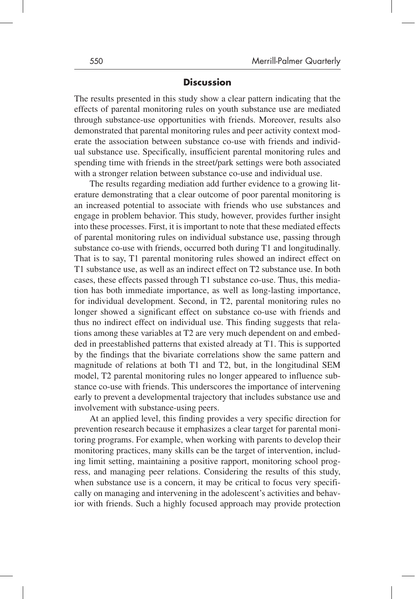### **Discussion**

The results presented in this study show a clear pattern indicating that the effects of parental monitoring rules on youth substance use are mediated through substance-use opportunities with friends. Moreover, results also demonstrated that parental monitoring rules and peer activity context moderate the association between substance co-use with friends and individual substance use. Specifically, insufficient parental monitoring rules and spending time with friends in the street/park settings were both associated with a stronger relation between substance co-use and individual use.

The results regarding mediation add further evidence to a growing literature demonstrating that a clear outcome of poor parental monitoring is an increased potential to associate with friends who use substances and engage in problem behavior. This study, however, provides further insight into these processes. First, it is important to note that these mediated effects of parental monitoring rules on individual substance use, passing through substance co-use with friends, occurred both during T1 and longitudinally. That is to say, T1 parental monitoring rules showed an indirect effect on T1 substance use, as well as an indirect effect on T2 substance use. In both cases, these effects passed through T1 substance co-use. Thus, this mediation has both immediate importance, as well as long-lasting importance, for individual development. Second, in T2, parental monitoring rules no longer showed a significant effect on substance co-use with friends and thus no indirect effect on individual use. This finding suggests that relations among these variables at T2 are very much dependent on and embedded in preestablished patterns that existed already at T1. This is supported by the findings that the bivariate correlations show the same pattern and magnitude of relations at both T1 and T2, but, in the longitudinal SEM model, T2 parental monitoring rules no longer appeared to influence substance co-use with friends. This underscores the importance of intervening early to prevent a developmental trajectory that includes substance use and involvement with substance-using peers.

At an applied level, this finding provides a very specific direction for prevention research because it emphasizes a clear target for parental monitoring programs. For example, when working with parents to develop their monitoring practices, many skills can be the target of intervention, including limit setting, maintaining a positive rapport, monitoring school progress, and managing peer relations. Considering the results of this study, when substance use is a concern, it may be critical to focus very specifically on managing and intervening in the adolescent's activities and behavior with friends. Such a highly focused approach may provide protection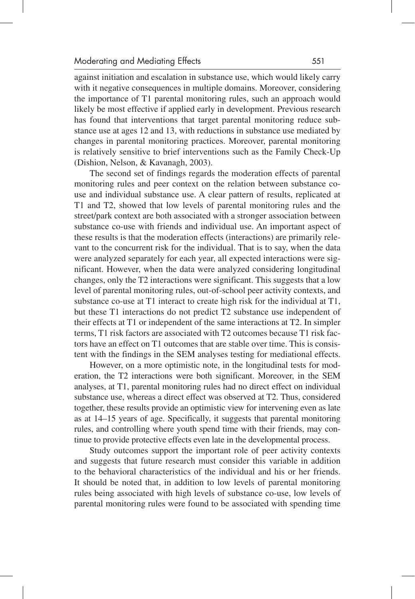against initiation and escalation in substance use, which would likely carry with it negative consequences in multiple domains. Moreover, considering the importance of T1 parental monitoring rules, such an approach would likely be most effective if applied early in development. Previous research has found that interventions that target parental monitoring reduce substance use at ages 12 and 13, with reductions in substance use mediated by changes in parental monitoring practices. Moreover, parental monitoring is relatively sensitive to brief interventions such as the Family Check-Up (Dishion, Nelson, & Kavanagh, 2003).

The second set of findings regards the moderation effects of parental monitoring rules and peer context on the relation between substance couse and individual substance use. A clear pattern of results, replicated at T1 and T2, showed that low levels of parental monitoring rules and the street/park context are both associated with a stronger association between substance co-use with friends and individual use. An important aspect of these results is that the moderation effects (interactions) are primarily relevant to the concurrent risk for the individual. That is to say, when the data were analyzed separately for each year, all expected interactions were significant. However, when the data were analyzed considering longitudinal changes, only the T2 interactions were significant. This suggests that a low level of parental monitoring rules, out-of-school peer activity contexts, and substance co-use at T1 interact to create high risk for the individual at T1, but these T1 interactions do not predict T2 substance use independent of their effects at T1 or independent of the same interactions at T2. In simpler terms, T1 risk factors are associated with T2 outcomes because T1 risk factors have an effect on T1 outcomes that are stable over time. This is consistent with the findings in the SEM analyses testing for mediational effects.

However, on a more optimistic note, in the longitudinal tests for moderation, the T2 interactions were both significant. Moreover, in the SEM analyses, at T1, parental monitoring rules had no direct effect on individual substance use, whereas a direct effect was observed at T2. Thus, considered together, these results provide an optimistic view for intervening even as late as at 14–15 years of age. Specifically, it suggests that parental monitoring rules, and controlling where youth spend time with their friends, may continue to provide protective effects even late in the developmental process.

Study outcomes support the important role of peer activity contexts and suggests that future research must consider this variable in addition to the behavioral characteristics of the individual and his or her friends. It should be noted that, in addition to low levels of parental monitoring rules being associated with high levels of substance co-use, low levels of parental monitoring rules were found to be associated with spending time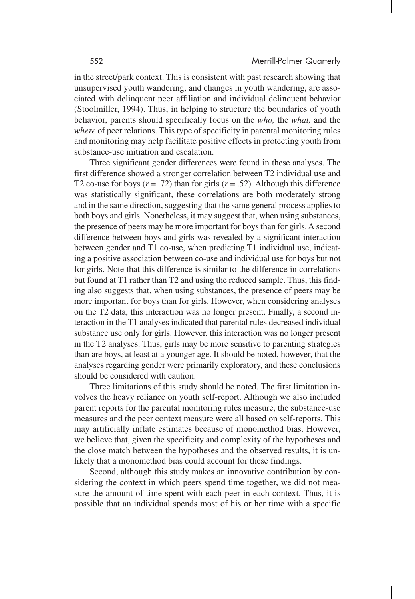in the street/park context. This is consistent with past research showing that unsupervised youth wandering, and changes in youth wandering, are associated with delinquent peer affiliation and individual delinquent behavior (Stoolmiller, 1994). Thus, in helping to structure the boundaries of youth behavior, parents should specifically focus on the *who,* the *what,* and the *where* of peer relations. This type of specificity in parental monitoring rules and monitoring may help facilitate positive effects in protecting youth from substance-use initiation and escalation.

Three significant gender differences were found in these analyses. The first difference showed a stronger correlation between T2 individual use and T2 co-use for boys  $(r = .72)$  than for girls  $(r = .52)$ . Although this difference was statistically significant, these correlations are both moderately strong and in the same direction, suggesting that the same general process applies to both boys and girls. Nonetheless, it may suggest that, when using substances, the presence of peers may be more important for boys than for girls. A second difference between boys and girls was revealed by a significant interaction between gender and T1 co-use, when predicting T1 individual use, indicating a positive association between co-use and individual use for boys but not for girls. Note that this difference is similar to the difference in correlations but found at T1 rather than T2 and using the reduced sample. Thus, this finding also suggests that, when using substances, the presence of peers may be more important for boys than for girls. However, when considering analyses on the T2 data, this interaction was no longer present. Finally, a second interaction in the T1 analyses indicated that parental rules decreased individual substance use only for girls. However, this interaction was no longer present in the T2 analyses. Thus, girls may be more sensitive to parenting strategies than are boys, at least at a younger age. It should be noted, however, that the analyses regarding gender were primarily exploratory, and these conclusions should be considered with caution.

Three limitations of this study should be noted. The first limitation involves the heavy reliance on youth self-report. Although we also included parent reports for the parental monitoring rules measure, the substance-use measures and the peer context measure were all based on self-reports. This may artificially inflate estimates because of monomethod bias. However, we believe that, given the specificity and complexity of the hypotheses and the close match between the hypotheses and the observed results, it is unlikely that a monomethod bias could account for these findings.

Second, although this study makes an innovative contribution by considering the context in which peers spend time together, we did not measure the amount of time spent with each peer in each context. Thus, it is possible that an individual spends most of his or her time with a specific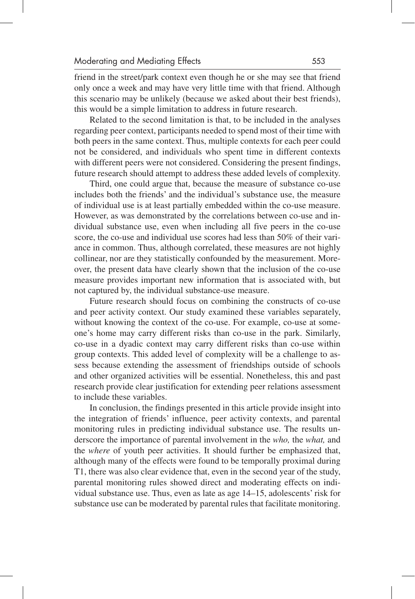friend in the street/park context even though he or she may see that friend only once a week and may have very little time with that friend. Although this scenario may be unlikely (because we asked about their best friends), this would be a simple limitation to address in future research.

Related to the second limitation is that, to be included in the analyses regarding peer context, participants needed to spend most of their time with both peers in the same context. Thus, multiple contexts for each peer could not be considered, and individuals who spent time in different contexts with different peers were not considered. Considering the present findings, future research should attempt to address these added levels of complexity.

Third, one could argue that, because the measure of substance co-use includes both the friends' and the individual's substance use, the measure of individual use is at least partially embedded within the co-use measure. However, as was demonstrated by the correlations between co-use and individual substance use, even when including all five peers in the co-use score, the co-use and individual use scores had less than 50% of their variance in common. Thus, although correlated, these measures are not highly collinear, nor are they statistically confounded by the measurement. Moreover, the present data have clearly shown that the inclusion of the co-use measure provides important new information that is associated with, but not captured by, the individual substance-use measure.

Future research should focus on combining the constructs of co-use and peer activity context. Our study examined these variables separately, without knowing the context of the co-use. For example, co-use at someone's home may carry different risks than co-use in the park. Similarly, co-use in a dyadic context may carry different risks than co-use within group contexts. This added level of complexity will be a challenge to assess because extending the assessment of friendships outside of schools and other organized activities will be essential. Nonetheless, this and past research provide clear justification for extending peer relations assessment to include these variables.

In conclusion, the findings presented in this article provide insight into the integration of friends' influence, peer activity contexts, and parental monitoring rules in predicting individual substance use. The results underscore the importance of parental involvement in the *who,* the *what,* and the *where* of youth peer activities. It should further be emphasized that, although many of the effects were found to be temporally proximal during T1, there was also clear evidence that, even in the second year of the study, parental monitoring rules showed direct and moderating effects on individual substance use. Thus, even as late as age 14–15, adolescents' risk for substance use can be moderated by parental rules that facilitate monitoring.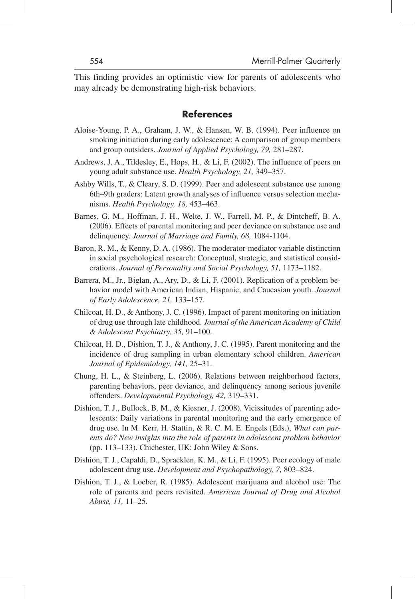This finding provides an optimistic view for parents of adolescents who may already be demonstrating high-risk behaviors.

## **References**

- Aloise-Young, P. A., Graham, J. W., & Hansen, W. B. (1994). Peer influence on smoking initiation during early adolescence: A comparison of group members and group outsiders. *Journal of Applied Psychology, 79,* 281–287.
- Andrews, J. A., Tildesley, E., Hops, H., & Li, F. (2002). The influence of peers on young adult substance use. *Health Psychology, 21,* 349–357.
- Ashby Wills, T., & Cleary, S. D. (1999). Peer and adolescent substance use among 6th–9th graders: Latent growth analyses of influence versus selection mechanisms. *Health Psychology, 18,* 453–463.
- Barnes, G. M., Hoffman, J. H., Welte, J. W., Farrell, M. P., & Dintcheff, B. A. (2006). Effects of parental monitoring and peer deviance on substance use and delinquency. *Journal of Marriage and Family, 68,* 1084-1104.
- Baron, R. M., & Kenny, D. A. (1986). The moderator-mediator variable distinction in social psychological research: Conceptual, strategic, and statistical considerations. *Journal of Personality and Social Psychology, 51,* 1173–1182.
- Barrera, M., Jr., Biglan, A., Ary, D., & Li, F. (2001). Replication of a problem behavior model with American Indian, Hispanic, and Caucasian youth. *Journal of Early Adolescence, 21,* 133–157.
- Chilcoat, H. D., & Anthony, J. C. (1996). Impact of parent monitoring on initiation of drug use through late childhood. *Journal of the American Academy of Child & Adolescent Psychiatry, 35,* 91–100.
- Chilcoat, H. D., Dishion, T. J., & Anthony, J. C. (1995). Parent monitoring and the incidence of drug sampling in urban elementary school children. *American Journal of Epidemiology, 141,* 25–31.
- Chung, H. L., & Steinberg, L. (2006). Relations between neighborhood factors, parenting behaviors, peer deviance, and delinquency among serious juvenile offenders. *Developmental Psychology, 42,* 319–331.
- Dishion, T. J., Bullock, B. M., & Kiesner, J. (2008). Vicissitudes of parenting adolescents: Daily variations in parental monitoring and the early emergence of drug use. In M. Kerr, H. Stattin, & R. C. M. E. Engels (Eds.), *What can parents do? New insights into the role of parents in adolescent problem behavior* (pp. 113–133). Chichester, UK: John Wiley & Sons.
- Dishion, T. J., Capaldi, D., Spracklen, K. M., & Li, F. (1995). Peer ecology of male adolescent drug use. *Development and Psychopathology, 7,* 803–824.
- Dishion, T. J., & Loeber, R. (1985). Adolescent marijuana and alcohol use: The role of parents and peers revisited. *American Journal of Drug and Alcohol Abuse, 11,* 11–25.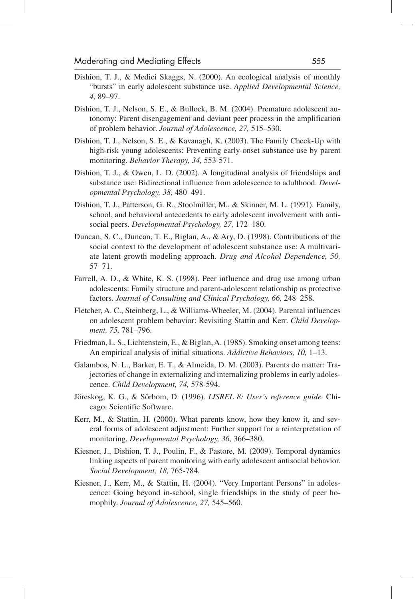- Dishion, T. J., & Medici Skaggs, N. (2000). An ecological analysis of monthly "bursts" in early adolescent substance use. *Applied Developmental Science, 4,* 89–97.
- Dishion, T. J., Nelson, S. E., & Bullock, B. M. (2004). Premature adolescent autonomy: Parent disengagement and deviant peer process in the amplification of problem behavior. *Journal of Adolescence, 27,* 515–530.
- Dishion, T. J., Nelson, S. E., & Kavanagh, K. (2003). The Family Check-Up with high-risk young adolescents: Preventing early-onset substance use by parent monitoring. *Behavior Therapy, 34,* 553-571.
- Dishion, T. J., & Owen, L. D. (2002). A longitudinal analysis of friendships and substance use: Bidirectional influence from adolescence to adulthood. *Developmental Psychology, 38,* 480–491.
- Dishion, T. J., Patterson, G. R., Stoolmiller, M., & Skinner, M. L. (1991). Family, school, and behavioral antecedents to early adolescent involvement with antisocial peers. *Developmental Psychology, 27,* 172–180.
- Duncan, S. C., Duncan, T. E., Biglan, A., & Ary, D. (1998). Contributions of the social context to the development of adolescent substance use: A multivariate latent growth modeling approach. *Drug and Alcohol Dependence, 50,* 57–71.
- Farrell, A. D., & White, K. S. (1998). Peer influence and drug use among urban adolescents: Family structure and parent-adolescent relationship as protective factors. *Journal of Consulting and Clinical Psychology, 66,* 248–258.
- Fletcher, A. C., Steinberg, L., & Williams-Wheeler, M. (2004). Parental influences on adolescent problem behavior: Revisiting Stattin and Kerr. *Child Development, 75,* 781–796.
- Friedman, L. S., Lichtenstein, E., & Biglan, A. (1985). Smoking onset among teens: An empirical analysis of initial situations. *Addictive Behaviors, 10,* 1–13.
- Galambos, N. L., Barker, E. T., & Almeida, D. M. (2003). Parents do matter: Trajectories of change in externalizing and internalizing problems in early adolescence. *Child Development, 74,* 578-594.
- Jöreskog, K. G., & Sörbom, D. (1996). *LISREL 8: User's reference guide.* Chicago: Scientific Software.
- Kerr, M., & Stattin, H. (2000). What parents know, how they know it, and several forms of adolescent adjustment: Further support for a reinterpretation of monitoring. *Developmental Psychology, 36,* 366–380.
- Kiesner, J., Dishion, T. J., Poulin, F., & Pastore, M. (2009). Temporal dynamics linking aspects of parent monitoring with early adolescent antisocial behavior. *Social Development, 18,* 765-784.
- Kiesner, J., Kerr, M., & Stattin, H. (2004). "Very Important Persons" in adolescence: Going beyond in-school, single friendships in the study of peer homophily. *Journal of Adolescence, 27,* 545–560.